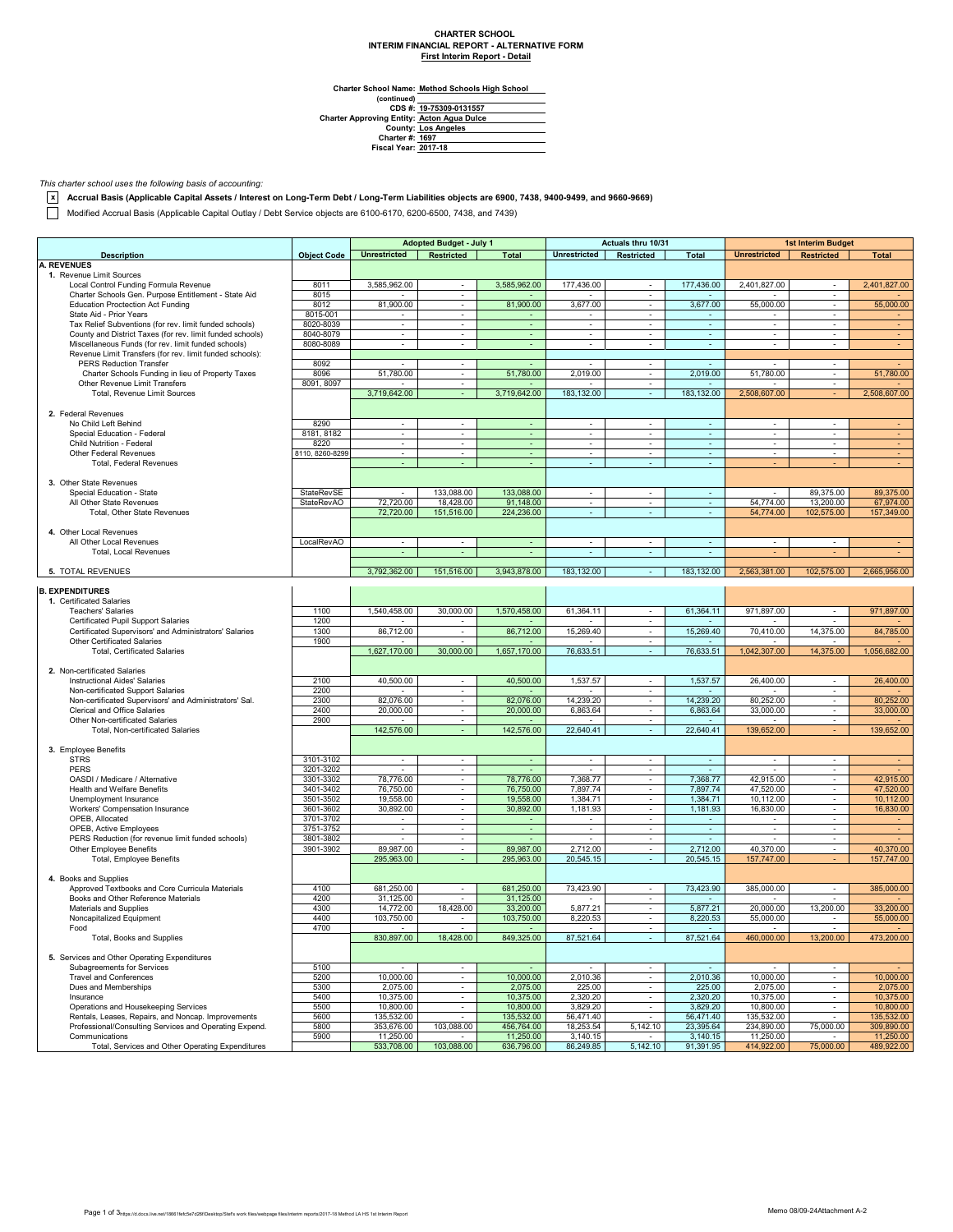# **CHARTER SCHOOL INTERIM FINANCIAL REPORT - ALTERNATIVE FORM First Interim Report - Detail**

**Charter School Name: Method Schools High School**

| CDS #: 19-75309-0131557                           |
|---------------------------------------------------|
| <b>Charter Approving Entity: Acton Agua Dulce</b> |
| <b>County: Los Angeles</b>                        |
| <b>Charter #: 1697</b>                            |
| <b>Fiscal Year: 2017-18</b>                       |
|                                                   |

### *This charter school uses the following basis of accounting:*

**x Accrual Basis (Applicable Capital Assets / Interest on Long-Term Debt / Long-Term Liabilities objects are 6900, 7438, 9400-9499, and 9660-9669)**

Modified Accrual Basis (Applicable Capital Outlay / Debt Service objects are 6100-6170, 6200-6500, 7438, and 7439)

|                                                                                        |                    |                     | <b>Adopted Budget - July 1</b> |                | <b>Actuals thru 10/31</b> |                          | <b>1st Interim Budget</b> |                          |                          |              |
|----------------------------------------------------------------------------------------|--------------------|---------------------|--------------------------------|----------------|---------------------------|--------------------------|---------------------------|--------------------------|--------------------------|--------------|
| <b>Description</b>                                                                     | <b>Object Code</b> | <b>Unrestricted</b> | <b>Restricted</b>              | <b>Total</b>   | <b>Unrestricted</b>       | Restricted               | Total                     | <b>Unrestricted</b>      | <b>Restricted</b>        | <b>Total</b> |
| <b>A. REVENUES</b>                                                                     |                    |                     |                                |                |                           |                          |                           |                          |                          |              |
| 1. Revenue Limit Sources                                                               |                    |                     |                                |                |                           |                          |                           |                          |                          |              |
| Local Control Funding Formula Revenue                                                  | 8011               | 3.585.962.00        | $\sim$                         | 3,585,962.00   | 177,436.00                | $\sim$                   | 177,436.00                | 2.401.827.00             | $\sim$                   | 2,401,827.00 |
| Charter Schools Gen. Purpose Entitlement - State Aid                                   | 8015               |                     | $\blacksquare$                 |                |                           | $\blacksquare$           |                           |                          | $\omega$                 |              |
| <b>Education Proctection Act Funding</b>                                               | 8012               | 81,900.00           | $\sim$                         | 81,900.00      | 3,677.00                  | $\omega$                 | 3,677.00                  | 55,000.00                | $\sim$                   | 55,000.00    |
| State Aid - Prior Years                                                                | 8015-001           | $\sim$              | $\blacksquare$                 |                |                           | $\blacksquare$           |                           |                          | $\overline{\phantom{a}}$ |              |
| Tax Relief Subventions (for rev. limit funded schools)                                 | 8020-8039          | $\omega$            | $\blacksquare$                 | $\sim$         | $\overline{\phantom{a}}$  | $\overline{\phantom{a}}$ | $\omega$                  | $\omega$                 | $\overline{\phantom{a}}$ |              |
| County and District Taxes (for rev. limit funded schools)                              | 8040-8079          | $\sim$              | $\overline{\phantom{a}}$       |                |                           | $\overline{\phantom{a}}$ | $\blacksquare$            | $\overline{\phantom{a}}$ |                          |              |
| Miscellaneous Funds (for rev. limit funded schools)                                    | 8080-8089          | $\sim$              | $\sim$                         | $\sim$         | $\sim$                    | $\sim$                   | $\sim$                    | $\overline{\phantom{a}}$ | $\sim$                   | $\sim$       |
| Revenue Limit Transfers (for rev. limit funded schools):                               |                    |                     |                                |                |                           |                          |                           |                          |                          |              |
| PERS Reduction Transfer                                                                | 8092               | $\sim$              | $\sim$                         | $\sim$         | $\sim$                    | $\sim$                   | $\sim$                    | $\sim$                   | $\sim$                   |              |
| Charter Schools Funding in lieu of Property Taxes                                      | 8096               | 51,780.00           | $\mathbf{r}$                   | 51,780.00      | 2,019.00                  | $\sim$                   | 2,019.00                  | 51,780.00                | $\sim$                   | 51,780.00    |
| Other Revenue Limit Transfers                                                          | 8091, 8097         |                     | $\sim$                         |                |                           | $\omega$                 |                           |                          | $\omega$                 |              |
| Total, Revenue Limit Sources                                                           |                    | 3,719,642.00        | $\omega$ .                     | 3,719,642.00   | 183.132.00                | $\sim$                   | 183, 132.00               | 2,508,607.00             | ÷.                       | 2,508,607.00 |
|                                                                                        |                    |                     |                                |                |                           |                          |                           |                          |                          |              |
| 2. Federal Revenues                                                                    |                    |                     |                                |                |                           |                          |                           |                          |                          |              |
| No Child Left Behind                                                                   | 8290               | $\sim$              | $\sim$                         | $\blacksquare$ | $\sim$                    | $\sim$                   | $\bullet$                 | $\overline{\phantom{a}}$ | $\sim$                   |              |
| Special Education - Federal                                                            | 8181, 8182         | $\sim$              | $\sim$                         | $\blacksquare$ | $\sim$                    | $\overline{\phantom{a}}$ | $\sim$                    | $\blacksquare$           | $\blacksquare$           | $\sim$       |
| Child Nutrition - Federal                                                              | 8220               | $\sim$              | $\sim$                         | $\sim$         | $\sim$                    | $\sim$                   | $\sim$                    | $\blacksquare$           | $\overline{\phantom{a}}$ | $\sim$       |
|                                                                                        |                    | $\sim$              | $\blacksquare$                 | ÷.             | $\sim$                    | $\omega$                 |                           | $\omega$                 | $\sim$                   |              |
| Other Federal Revenues                                                                 | 8110, 8260-8299    | ÷.                  | ÷.                             |                | ÷.                        |                          | $\omega$                  |                          |                          | $\sim$       |
| Total, Federal Revenues                                                                |                    |                     |                                | ä,             |                           | $\omega$                 | $\omega$                  | ÷                        | ÷.                       | $\omega$     |
|                                                                                        |                    |                     |                                |                |                           |                          |                           |                          |                          |              |
| 3. Other State Revenues                                                                |                    |                     |                                |                |                           |                          |                           |                          |                          |              |
| Special Education - State                                                              | StateRevSE         | $\blacksquare$      | 133,088.00                     | 133,088.00     |                           |                          | $\blacksquare$            | $\sim$                   | 89,375.00                | 89,375.00    |
| All Other State Revenues                                                               | <b>StateRevAO</b>  | 72,720.00           | 18,428.00                      | 91,148.00      |                           | $\sim$                   | ÷                         | 54.774.00                | 13,200.00                | 67,974.00    |
| Total, Other State Revenues                                                            |                    | 72,720.00           | 151,516.00                     | 224,236.00     |                           |                          | $\omega$                  | 54,774.00                | 102,575.00               | 157,349.00   |
|                                                                                        |                    |                     |                                |                |                           |                          |                           |                          |                          |              |
| 4. Other Local Revenues                                                                |                    |                     |                                |                |                           |                          |                           |                          |                          |              |
| All Other Local Revenues                                                               | LocalRevAO         | $\sim$              | ÷                              |                | $\sim$                    | ÷.                       | $\omega$                  | $\mathbf{r}$             | $\sim$                   |              |
| Total, Local Revenues                                                                  |                    |                     |                                | ÷.             |                           | ÷.                       | ÷.                        |                          |                          |              |
|                                                                                        |                    |                     |                                |                |                           |                          |                           |                          |                          |              |
| 5. TOTAL REVENUES                                                                      |                    | 3,792,362.00        | 151,516.00                     | 3.943.878.00   | 183,132.00                |                          | 183,132.00                | 2.563.381.00             | 102,575.00               | 2,665,956.00 |
|                                                                                        |                    |                     |                                |                |                           |                          |                           |                          |                          |              |
| <b>B. EXPENDITURES</b>                                                                 |                    |                     |                                |                |                           |                          |                           |                          |                          |              |
| 1. Certificated Salaries                                                               |                    |                     |                                |                |                           |                          |                           |                          |                          |              |
| <b>Teachers' Salaries</b>                                                              | 1100               | 1,540,458.00        | 30,000.00                      | 1,570,458.00   | 61,364.11                 | $\sim$                   | 61,364.11                 | 971.897.00               | $\sim$                   | 971,897.00   |
| Certificated Pupil Support Salaries                                                    | 1200               |                     |                                |                |                           | $\omega$                 |                           |                          |                          |              |
| Certificated Supervisors' and Administrators' Salaries                                 | 1300               | 86,712.00           | $\mathbf{r}$                   | 86,712.00      | 15,269.40                 | $\omega$                 | 15,269.40                 | 70,410.00                | 14,375.00                | 84,785.00    |
| Other Certificated Salaries                                                            | 1900               |                     | $\sim$                         |                |                           | $\sim$                   |                           |                          |                          |              |
| <b>Total, Certificated Salaries</b>                                                    |                    | 1,627,170.00        | 30,000.00                      | 1,657,170.00   | 76,633.51                 | $\omega$                 | 76,633.51                 | 1,042,307.00             | 14,375.00                | 1,056,682.00 |
|                                                                                        |                    |                     |                                |                |                           |                          |                           |                          |                          |              |
| 2. Non-certificated Salaries                                                           |                    |                     |                                |                |                           |                          |                           |                          |                          |              |
| <b>Instructional Aides' Salaries</b>                                                   | 2100               | 40,500.00           | $\sim$                         | 40,500.00      | 1,537.57                  | $\sim$                   | 1,537.57                  | 26,400.00                | $\sim$                   | 26,400.00    |
| Non-certificated Support Salaries                                                      | 2200               |                     | $\sim$                         |                |                           | $\sim$                   | $\sim$                    |                          | $\sim$                   |              |
|                                                                                        |                    |                     | $\mathbf{r}$                   |                |                           | $\sim$                   |                           |                          | $\sim$                   |              |
| Non-certificated Supervisors' and Administrators' Sal.<br>Clerical and Office Salaries | 2300               | 82,076.00           | $\blacksquare$                 | 82,076.00      | 14,239.20                 |                          | 14,239.20                 | 80,252.00                |                          | 80,252.00    |
|                                                                                        | 2400               | 20,000.00           |                                | 20,000.00      | 6,863.64                  | $\omega$                 | 6,863.64                  | 33,000.00                | $\omega$                 | 33,000.00    |
| Other Non-certificated Salaries                                                        | 2900               |                     | ٠                              |                |                           | $\sim$                   |                           |                          | $\sim$                   |              |
| Total, Non-certificated Salaries                                                       |                    | 142,576.00          |                                | 142,576.00     | 22,640.41                 | $\sim$                   | 22,640.41                 | 139,652.00               |                          | 139,652.00   |
|                                                                                        |                    |                     |                                |                |                           |                          |                           |                          |                          |              |
| 3. Employee Benefits                                                                   |                    |                     |                                |                |                           |                          |                           |                          |                          |              |
| <b>STRS</b>                                                                            | 3101-3102          | $\sim$              | $\sim$                         | $\sim$         | $\sim$                    | $\sim$                   | $\sim$                    | $\sim$                   | $\sim$                   |              |
| <b>PERS</b>                                                                            | 3201-3202          | $\sim$              | $\sim$                         | $\sim$         | $\sim$                    | $\sim$                   | $\omega$                  | $\sim$                   | $\overline{\phantom{a}}$ |              |
| OASDI / Medicare / Alternative                                                         | 3301-3302          | 78,776.00           | $\mathbf{r}$                   | 78,776.00      | 7,368.77                  | $\sim$                   | 7,368.77                  | 42,915.00                | $\sim$                   | 42,915.00    |
| Health and Welfare Benefits                                                            | 3401-3402          | 76,750.00           | $\omega$                       | 76,750.00      | 7,897.74                  | $\omega$                 | 7,897.74                  | 47,520.00                | $\omega$                 | 47,520.00    |
| Unemployment Insurance                                                                 | 3501-3502          | 19,558.00           | $\blacksquare$                 | 19,558.00      | 1,384.71                  | $\omega$                 | 1,384.71                  | 10,112.00                | $\omega$                 | 10,112.00    |
| Workers' Compensation Insurance                                                        | 3601-3602          | 30,892.00           | $\blacksquare$                 | 30,892.00      | 1,181.93                  | $\blacksquare$           | 1,181.93                  | 16,830.00                | $\sim$                   | 16,830.00    |
| OPEB, Allocated                                                                        | 3701-3702          |                     |                                | $\sim$         |                           | $\blacksquare$           | $\blacksquare$            |                          | $\sim$                   |              |
| OPEB, Active Employees                                                                 | 3751-3752          | $\sim$              | $\overline{\phantom{a}}$       | $\blacksquare$ | $\sim$                    | $\sim$                   | $\bullet$                 | $\sim$                   | $\overline{\phantom{a}}$ | $\sim$       |
| PERS Reduction (for revenue limit funded schools)                                      | 3801-3802          | $\sim$              | $\overline{\phantom{a}}$       | $\sim$         | $\sim$                    | $\sim$                   | $\blacksquare$            | $\sim$                   | $\sim$                   |              |
| Other Employee Benefits                                                                | 3901-3902          | 89,987.00           | $\sim$                         | 89.987.00      | 2,712.00                  | $\sim$                   | 2,712.00                  | 40,370.00                | $\sim$                   | 40,370.00    |
| <b>Total, Employee Benefits</b>                                                        |                    | 295,963.00          | $\sim$                         | 295,963.00     | 20,545.15                 | $\sim$                   | 20,545.15                 | 157,747.00               |                          | 157,747.00   |
|                                                                                        |                    |                     |                                |                |                           |                          |                           |                          |                          |              |
| 4. Books and Supplies                                                                  |                    |                     |                                |                |                           |                          |                           |                          |                          |              |
| Approved Textbooks and Core Curricula Materials                                        | 4100               | 681,250.00          | $\blacksquare$                 | 681,250.00     | 73,423.90                 | $\sim$                   | 73,423.90                 | 385,000.00               | $\sim$                   | 385,000.00   |
| Books and Other Reference Materials                                                    | 4200               | 31,125.00           |                                | 31,125.00      |                           | $\sim$                   |                           |                          |                          |              |
|                                                                                        |                    |                     |                                |                |                           |                          |                           | 20,000.00                |                          |              |
| Materials and Supplies                                                                 | 4300               | 14,772.00           | 18,428.00                      | 33,200.00      | 5,877.21                  | $\sim$                   | 5,877.21                  |                          | 13,200.00                | 33,200.00    |
| Noncapitalized Equipment                                                               | 4400               | 103,750.00          | $\overline{\phantom{a}}$       | 103,750.00     | 8,220.53                  | $\sim$                   | 8,220.53                  | 55,000.00                | $\sim$                   | 55,000.00    |
| Food                                                                                   | 4700               | $\sim$              | $\sim$                         |                | $\sim$                    | $\sim$                   | $\sim$                    | $\sim$                   | $\sim$                   |              |
| Total, Books and Supplies                                                              |                    | 830,897.00          | 18,428.00                      | 849,325.00     | 87,521.64                 |                          | 87,521.64                 | 460,000.00               | 13,200.00                | 473,200.00   |
|                                                                                        |                    |                     |                                |                |                           |                          |                           |                          |                          |              |
| 5. Services and Other Operating Expenditures                                           |                    |                     |                                |                |                           |                          |                           |                          |                          |              |
| Subagreements for Services                                                             | 5100               | $\sim$              | $\sim$                         | $\sim$         | $\sim$                    | $\sim$                   | $\sim$                    | $\sim$                   | $\sim$                   |              |
| <b>Travel and Conferences</b>                                                          | 5200               | 10,000.00           | $\overline{\phantom{a}}$       | 10,000.00      | 2,010.36                  | $\blacksquare$           | 2,010.36                  | 10,000.00                | $\blacksquare$           | 10,000.00    |
| Dues and Memberships                                                                   | 5300               | 2,075.00            | $\overline{\phantom{a}}$       | 2,075.00       | 225.00                    | $\overline{\phantom{a}}$ | 225.00                    | 2,075.00                 | $\blacksquare$           | 2,075.00     |
| Insurance                                                                              | 5400               | 10,375.00           | $\sim$                         | 10,375.00      | 2,320.20                  | $\sim$                   | 2,320.20                  | 10,375.00                | $\sim$                   | 10,375.00    |
| Operations and Housekeeping Services                                                   | 5500               | 10,800.00           | $\sim$                         | 10,800.00      | 3,829.20                  | $\sim$                   | 3,829.20                  | 10,800.00                | $\sim$                   | 10,800.00    |
| Rentals, Leases, Repairs, and Noncap. Improvements                                     | 5600               | 135,532.00          | $\sim$                         | 135,532.00     | 56,471.40                 | $\sim$                   | 56,471.40                 | 135,532.00               | $\sim$                   | 135,532.00   |
| Professional/Consulting Services and Operating Expend.                                 | 5800               | 353,676.00          | 103,088.00                     | 456,764.00     | 18,253.54                 | 5,142.10                 | 23,395.64                 | 234,890.00               | 75,000.00                | 309,890.00   |
| Communications                                                                         | 5900               | 11,250.00           |                                | 11,250.00      | 3,140.15                  |                          | 3,140.15                  | 11,250.00                |                          | 11,250.00    |
| Total, Services and Other Operating Expenditures                                       |                    | 533,708.00          | 103,088.00                     | 636,796.00     | 86,249.85                 | 5,142.10                 | 91,391.95                 | 414,922.00               | 75,000.00                | 489,922.00   |
|                                                                                        |                    |                     |                                |                |                           |                          |                           |                          |                          |              |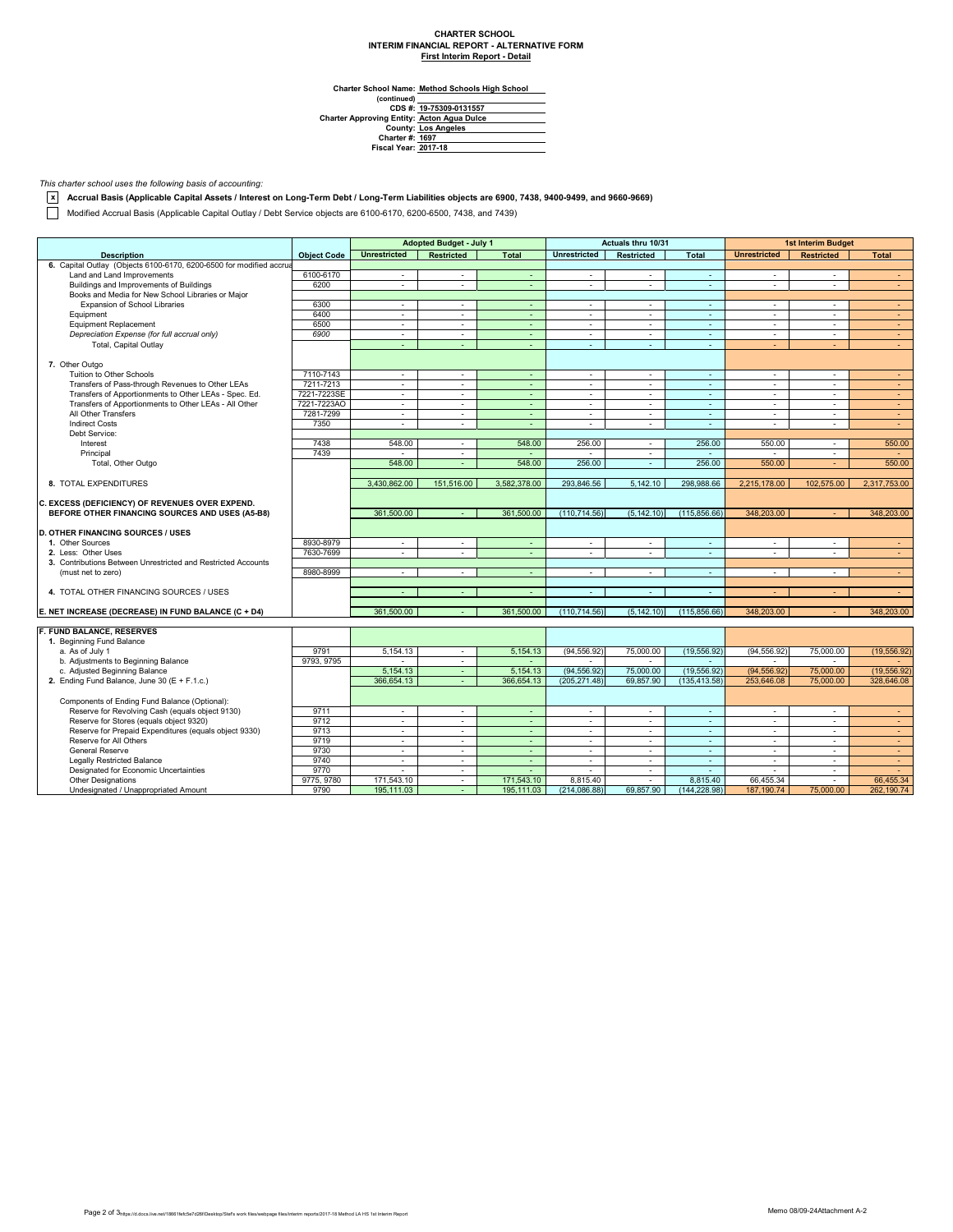# **CHARTER SCHOOL INTERIM FINANCIAL REPORT - ALTERNATIVE FORM First Interim Report - Detail**

**Charter School Name: Method Schools High School**

| (continued)                                       |                            |
|---------------------------------------------------|----------------------------|
|                                                   | CDS #: 19-75309-0131557    |
| <b>Charter Approving Entity: Acton Agua Dulce</b> |                            |
|                                                   | <b>County: Los Angeles</b> |
| <b>Charter #: 1697</b>                            |                            |
| <b>Fiscal Year: 2017-18</b>                       |                            |
|                                                   |                            |

### *This charter school uses the following basis of accounting:*

**x Accrual Basis (Applicable Capital Assets / Interest on Long-Term Debt / Long-Term Liabilities objects are 6900, 7438, 9400-9499, and 9660-9669)**

Modified Accrual Basis (Applicable Capital Outlay / Debt Service objects are 6100-6170, 6200-6500, 7438, and 7439)

|                                                                     |                    |                             | <b>Adopted Budget - July 1</b> |                | Actuals thru 10/31       |                   |                | <b>1st Interim Budget</b> |                          |              |
|---------------------------------------------------------------------|--------------------|-----------------------------|--------------------------------|----------------|--------------------------|-------------------|----------------|---------------------------|--------------------------|--------------|
| <b>Description</b>                                                  | <b>Object Code</b> | <b>Unrestricted</b>         | <b>Restricted</b>              | <b>Total</b>   | <b>Unrestricted</b>      | <b>Restricted</b> | <b>Total</b>   | <b>Unrestricted</b>       | <b>Restricted</b>        | <b>Total</b> |
| 6. Capital Outlay (Objects 6100-6170, 6200-6500 for modified accrua |                    |                             |                                |                |                          |                   |                |                           |                          |              |
| Land and Land Improvements                                          | 6100-6170          | $\sim$                      | $\sim$                         | $\sim$         | $\sim$                   | $\sim$            | $\sim$         | $\sim$                    | $\sim$                   | $\sim$       |
| Buildings and Improvements of Buildings                             | 6200               | $\omega$                    | $\mathbf{r}$                   | ä,             | $\sim$                   | $\sim$            | $\Delta$       | $\overline{\phantom{a}}$  | $\overline{\phantom{a}}$ | $\omega$     |
| Books and Media for New School Libraries or Major                   |                    |                             |                                |                |                          |                   |                |                           |                          |              |
| Expansion of School Libraries                                       | 6300               | $\mathcal{L}_{\mathcal{L}}$ | $\sim$                         | $\omega$       | $\sim$                   | $\sim$            | $\sim$         | $\sim$                    | $\overline{a}$           | $\sim$       |
| Equipment                                                           | 6400               | $\blacksquare$              | $\sim$                         | $\blacksquare$ | $\blacksquare$           | $\sim$            | $\blacksquare$ | $\blacksquare$            |                          | $\sim$       |
| <b>Equipment Replacement</b>                                        | 6500               | $\sim$                      | $\sim$                         | $\sim$         | $\sim$                   | $\sim$            | $\sim$         | $\sim$                    | $\sim$                   | $\sim$       |
| Depreciation Expense (for full accrual only)                        | 6900               | $\sim$                      | $\sim$                         | $\blacksquare$ | $\sim$                   | $\sim$            | $\sim$         | $\sim$                    | $\sim$                   | $\sim$       |
| Total, Capital Outlay                                               |                    | ÷.                          | ÷                              | ÷.             | $\overline{\phantom{a}}$ | $\sim$            | $\omega$       | ÷.                        |                          | ÷.           |
|                                                                     |                    |                             |                                |                |                          |                   |                |                           |                          |              |
| 7. Other Outgo                                                      |                    |                             |                                |                |                          |                   |                |                           |                          |              |
| Tuition to Other Schools                                            | 7110-7143          | $\blacksquare$              | $\blacksquare$                 | $\blacksquare$ | $\sim$                   | $\sim$            | $\blacksquare$ | $\sim$                    | $\blacksquare$           | $\sim$       |
| Transfers of Pass-through Revenues to Other LEAs                    | 7211-7213          | $\sim$                      | $\sim$                         | $\sim$         | $\sim$                   | $\sim$            | $\sim$         | $\sim$                    | $\sim$                   | $\sim$       |
| Transfers of Apportionments to Other LEAs - Spec. Ed.               | 7221-7223SE        | $\equiv$                    | $\sim$                         | $\sim$         | $\sim$                   | $\sim$            | $\sim$         | $\sim$                    | $\sim$                   | $\sim$       |
| Transfers of Apportionments to Other LEAs - All Other               | 7221-7223AO        | ÷.                          | $\blacksquare$                 | ä,             | $\sim$                   | $\blacksquare$    | $\mathbb{Z}^2$ | $\blacksquare$            | $\overline{\phantom{a}}$ | $\omega$     |
| All Other Transfers                                                 | 7281-7299          | $\sim$                      | $\sim$                         | $\sim$         | $\sim$                   | $\sim$            | $\sim$         | $\sim$                    | $\sim$                   | $\sim$       |
| <b>Indirect Costs</b>                                               | 7350               | $\mathbf{r}$                | $\sim$                         | ÷.             | $\mathbf{r}$             | $\sim$            | $\sim$         | $\sim$                    | $\sim$                   | $\sim$       |
| Debt Service:                                                       |                    |                             |                                |                |                          |                   |                |                           |                          |              |
| Interest                                                            | 7438               | 548.00                      | $\sim$                         | 548.00         | 256.00                   | $\sim$            | 256.00         | 550.00                    | $\sim$                   | 550.00       |
| Principal                                                           | 7439               | $\sim$                      | $\sim$                         | $\sim$         | $\sim$                   | $\sim$            | $\sim$         | $\overline{\phantom{a}}$  | $\sim$                   | $\sim$       |
| Total, Other Outgo                                                  |                    | 548.00                      | $\blacksquare$                 | 548.00         | 256.00                   | $\sim$            | 256.00         | 550.00                    |                          | 550.00       |
|                                                                     |                    |                             |                                |                |                          |                   |                |                           |                          |              |
| 8. TOTAL EXPENDITURES                                               |                    | 3,430,862.00                | 151,516.00                     | 3,582,378.00   | 293,846.56               | 5.142.10          | 298.988.66     | 2,215,178.00              | 102,575.00               | 2,317,753.00 |
|                                                                     |                    |                             |                                |                |                          |                   |                |                           |                          |              |
| C. EXCESS (DEFICIENCY) OF REVENUES OVER EXPEND.                     |                    |                             |                                |                |                          |                   |                |                           |                          |              |
| BEFORE OTHER FINANCING SOURCES AND USES (A5-B8)                     |                    | 361.500.00                  |                                | 361,500.00     | (110, 714.56)            | (5, 142.10)       | (115, 856.66)  | 348,203.00                |                          | 348,203.00   |
|                                                                     |                    |                             |                                |                |                          |                   |                |                           |                          |              |
| <b>D. OTHER FINANCING SOURCES / USES</b>                            |                    |                             |                                |                |                          |                   |                |                           |                          |              |
| 1. Other Sources                                                    | 8930-8979          | $\sim$                      | $\sim$                         | $\sim$         | $\sim$                   | $\sim$            | $\sim$         | $\sim$                    | $\sim$                   | $\sim$       |
| 2. Less: Other Uses                                                 | 7630-7699          | $\omega$                    | $\sim$                         | ä,             | $\sim$                   | $\sim$            | $\omega$       | $\overline{\phantom{a}}$  | ٠                        | $\omega$     |
| 3. Contributions Between Unrestricted and Restricted Accounts       |                    |                             |                                |                |                          |                   |                |                           |                          |              |
| (must net to zero)                                                  | 8980-8999          | $\sim$                      | $\sim$                         | $\blacksquare$ | $\sim$                   | $\sim$            | $\sim$         | $\sim$                    | $\sim$                   | $\sim$       |
|                                                                     |                    |                             |                                |                |                          |                   |                |                           |                          |              |
| 4. TOTAL OTHER FINANCING SOURCES / USES                             |                    | ÷.                          | $\sim$                         | $\sim$         | $\sim$                   | $\sim$            | $\sim$         | ÷                         | $\sim$                   | $\sim$       |
|                                                                     |                    |                             |                                |                |                          |                   |                |                           |                          |              |
| E. NET INCREASE (DECREASE) IN FUND BALANCE (C + D4)                 |                    | 361,500.00                  |                                | 361,500.00     | (110, 714.56)            | (5, 142.10)       | (115, 856.66)  | 348,203.00                |                          | 348,203.00   |
|                                                                     |                    |                             |                                |                |                          |                   |                |                           |                          |              |
| <b>F. FUND BALANCE, RESERVES</b>                                    |                    |                             |                                |                |                          |                   |                |                           |                          |              |
| 1. Beginning Fund Balance                                           |                    |                             |                                |                |                          |                   |                |                           |                          |              |
| a. As of July 1                                                     | 9791               | 5,154.13                    | $\sim$                         | 5,154.13       | (94, 556.92)             | 75,000.00         | (19, 556.92)   | (94, 556.92)              | 75,000.00                | (19, 556.92) |
| b. Adjustments to Beginning Balance                                 | 9793, 9795         |                             | $\blacksquare$                 |                |                          |                   |                |                           |                          |              |
| c. Adjusted Beginning Balance                                       |                    | 5,154.13                    | $\sim$                         | 5,154.13       | (94, 556.92)             | 75,000.00         | (19, 556.92)   | (94, 556.92)              | 75,000.00                | (19, 556.92) |
| 2. Ending Fund Balance, June 30 (E + F.1.c.)                        |                    | 366,654.13                  | $\sim$                         | 366,654.13     | (205, 271.48)            | 69.857.90         | (135, 413.58)  | 253,646.08                | 75,000.00                | 328,646.08   |
|                                                                     |                    |                             |                                |                |                          |                   |                |                           |                          |              |
| Components of Ending Fund Balance (Optional):                       |                    |                             |                                |                |                          |                   |                |                           |                          |              |
| Reserve for Revolving Cash (equals object 9130)                     | 9711               | $\sim$                      | $\sim$                         | $\sim$         | $\sim$                   | $\sim$            | $\sim$         | $\sim$                    | $\sim$                   | $\sim$       |
| Reserve for Stores (equals object 9320)                             | 9712               | $\mathbf{r}$                | $\mathbf{r}$                   | ä,             | $\mathbf{r}$             | $\sim$            | $\omega$       | $\sim$                    | ÷                        | $\omega$     |
| Reserve for Prepaid Expenditures (equals object 9330)               | 9713               | $\omega$                    | $\mathbf{r}$                   | ÷.             | $\sim$                   | $\sim$            | $\sim$         | $\sim$                    | $\overline{\phantom{a}}$ | $\sim$       |
| Reserve for All Others                                              | 9719               | $\equiv$                    | $\sim$                         | $\sim$         | $\sim$                   | $\sim$            | $\sim$         | $\sim$                    | $\sim$                   | $\sim$       |
| General Reserve                                                     | 9730               | $\equiv$                    | $\blacksquare$                 | $\omega$       | $\blacksquare$           | $\sim$            | $\omega$       | $\blacksquare$            | $\overline{\phantom{a}}$ | $\sim$       |
| <b>Legally Restricted Balance</b>                                   | 9740               | $\sim$                      | $\mathbf{r}$                   | $\omega$       | $\sim$                   | $\sim$            | $\sim$         | $\sim$                    | ÷                        | $\sim$       |
| Designated for Economic Uncertainties                               | 9770               | $\omega$                    | $\sim$                         | ÷.             | $\sim$                   | $\sim$            | $\omega$ .     | $\overline{a}$            | $\sim$                   | $\omega$     |
| <b>Other Designations</b>                                           | 9775, 9780         | 171,543.10                  | $\mathbf{r}$                   | 171,543.10     | 8.815.40                 |                   | 8,815.40       | 66,455.34                 |                          | 66,455.34    |
| Undesignated / Unappropriated Amount                                | 9790               | 195.111.03                  | $\sim$                         | 195.111.03     | (214, 086.88)            | 69.857.90         | (144.228.98)   | 187.190.74                | 75,000.00                | 262,190.74   |